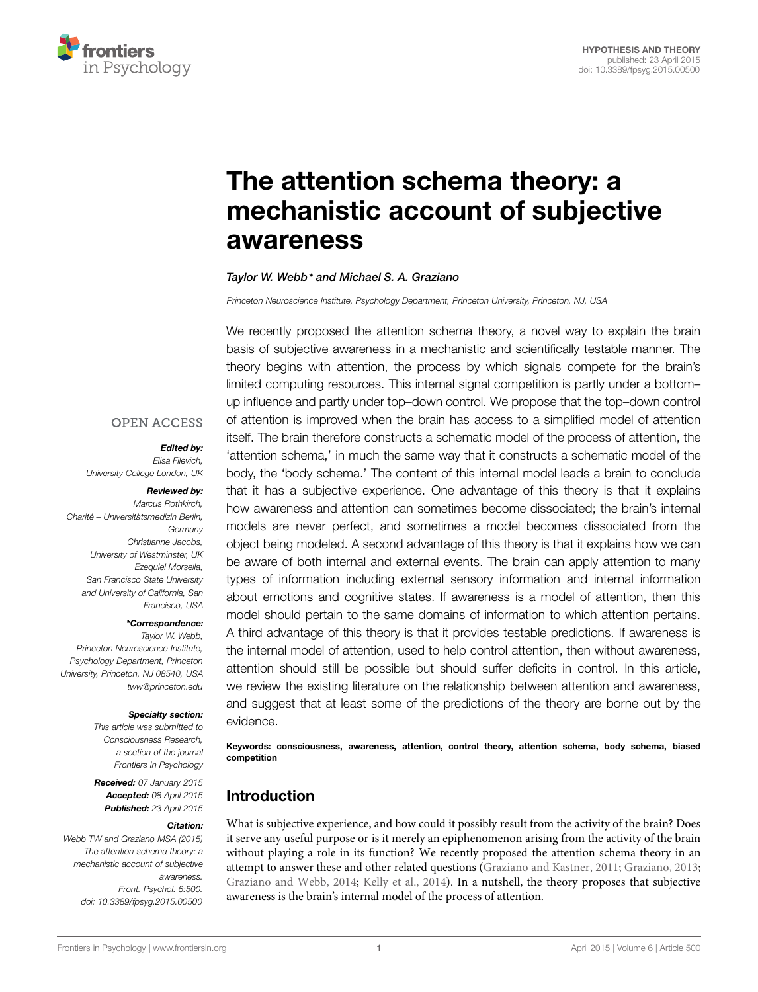

# The attention schema theory: a [mechanistic account of subjective](http://journal.frontiersin.org/article/10.3389/fpsyg.2015.00500/abstract) awareness

#### *Taylor W. Webb\* and [Michael S. A. Graziano](http://community.frontiersin.org/people/u/44388)*

*Princeton Neuroscience Institute, Psychology Department, Princeton University, Princeton, NJ, USA*

We recently proposed the attention schema theory, a novel way to explain the brain basis of subjective awareness in a mechanistic and scientifically testable manner. The theory begins with attention, the process by which signals compete for the brain's limited computing resources. This internal signal competition is partly under a bottom– up influence and partly under top–down control. We propose that the top–down control of attention is improved when the brain has access to a simplified model of attention itself. The brain therefore constructs a schematic model of the process of attention, the 'attention schema,' in much the same way that it constructs a schematic model of the body, the 'body schema.' The content of this internal model leads a brain to conclude that it has a subjective experience. One advantage of this theory is that it explains how awareness and attention can sometimes become dissociated; the brain's internal models are never perfect, and sometimes a model becomes dissociated from the object being modeled. A second advantage of this theory is that it explains how we can be aware of both internal and external events. The brain can apply attention to many types of information including external sensory information and internal information about emotions and cognitive states. If awareness is a model of attention, then this model should pertain to the same domains of information to which attention pertains. A third advantage of this theory is that it provides testable predictions. If awareness is the internal model of attention, used to help control attention, then without awareness, attention should still be possible but should suffer deficits in control. In this article, we review the existing literature on the relationship between attention and awareness, and suggest that at least some of the predictions of the theory are borne out by the evidence.

Keywords: consciousness, awareness, attention, control theory, attention schema, body schema, biased competition

# Introduction

What is subjective experience, and how could it possibly result from the activity of the brain? Does it serve any useful purpose or is it merely an epiphenomenon arising from the activity of the brain without playing a role in its function? We recently proposed the attention schema theory in an attempt to answer these and other related questions [\(Graziano and Kastner](#page-9-0), [2011](#page-9-0); [Graziano, 2013](#page-9-1); [Graziano and Webb, 2014](#page-9-2); [Kelly et al.](#page-9-3), [2014\)](#page-9-3). In a nutshell, the theory proposes that subjective awareness is the brain's internal model of the process of attention.

#### **OPEN ACCESS**

#### *Edited by:*

*Elisa Filevich, University College London, UK*

#### *Reviewed by:*

*Marcus Rothkirch, Charité – Universitätsmedizin Berlin, Germany Christianne Jacobs, University of Westminster, UK Ezequiel Morsella, San Francisco State University and University of California, San Francisco, USA*

*\*Correspondence:*

*Taylor W. Webb, Princeton Neuroscience Institute, Psychology Department, Princeton University, Princeton, NJ 08540, USA tww@princeton.edu*

#### *Specialty section:*

*This article was submitted to Consciousness Research, a section of the journal Frontiers in Psychology*

*Received: 07 January 2015 Accepted: 08 April 2015 Published: 23 April 2015*

#### *Citation:*

*Webb TW and Graziano MSA (2015) The attention schema theory: a mechanistic account of subjective awareness. Front. Psychol. 6:500. doi: [10.3389/fpsyg.2015.00500](http://dx.doi.org/10.3389/fpsyg.2015.00500)*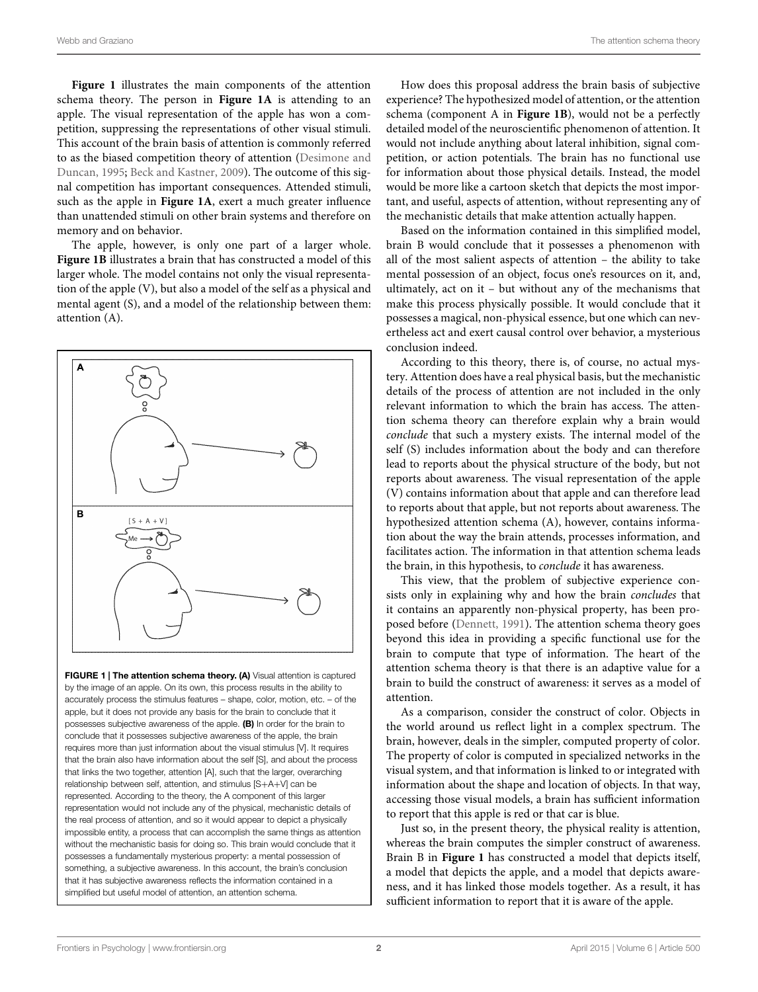**[Figure 1](#page-1-0)** illustrates the main components of the attention schema theory. The person in **[Figure 1A](#page-1-0)** is attending to an apple. The visual representation of the apple has won a competition, suppressing the representations of other visual stimuli. This account of the brain basis of attention is commonly referred to as the biased competition theory of attention (Desimone and Duncan, [1995;](#page-9-4) [Beck and Kastner, 2009\)](#page-9-5). The outcome of this signal competition has important consequences. Attended stimuli, such as the apple in **[Figure 1A](#page-1-0)**, exert a much greater influence than unattended stimuli on other brain systems and therefore on memory and on behavior.

The apple, however, is only one part of a larger whole. **[Figure 1B](#page-1-0)** illustrates a brain that has constructed a model of this larger whole. The model contains not only the visual representation of the apple (V), but also a model of the self as a physical and mental agent (S), and a model of the relationship between them: attention (A).



<span id="page-1-0"></span>FIGURE 1 | The attention schema theory. (A) Visual attention is captured by the image of an apple. On its own, this process results in the ability to accurately process the stimulus features – shape, color, motion, etc. – of the apple, but it does not provide any basis for the brain to conclude that it possesses subjective awareness of the apple. (B) In order for the brain to conclude that it possesses subjective awareness of the apple, the brain requires more than just information about the visual stimulus [V]. It requires that the brain also have information about the self [S], and about the process that links the two together, attention [A], such that the larger, overarching relationship between self, attention, and stimulus [S+A+V] can be represented. According to the theory, the A component of this larger representation would not include any of the physical, mechanistic details of the real process of attention, and so it would appear to depict a physically impossible entity, a process that can accomplish the same things as attention without the mechanistic basis for doing so. This brain would conclude that it possesses a fundamentally mysterious property: a mental possession of something, a subjective awareness. In this account, the brain's conclusion that it has subjective awareness reflects the information contained in a simplified but useful model of attention, an attention schema.

How does this proposal address the brain basis of subjective experience? The hypothesized model of attention, or the attention schema (component A in **[Figure 1B](#page-1-0)**), would not be a perfectly detailed model of the neuroscientific phenomenon of attention. It would not include anything about lateral inhibition, signal competition, or action potentials. The brain has no functional use for information about those physical details. Instead, the model would be more like a cartoon sketch that depicts the most important, and useful, aspects of attention, without representing any of the mechanistic details that make attention actually happen.

Based on the information contained in this simplified model, brain B would conclude that it possesses a phenomenon with all of the most salient aspects of attention – the ability to take mental possession of an object, focus one's resources on it, and, ultimately, act on it – but without any of the mechanisms that make this process physically possible. It would conclude that it possesses a magical, non-physical essence, but one which can nevertheless act and exert causal control over behavior, a mysterious conclusion indeed.

According to this theory, there is, of course, no actual mystery. Attention does have a real physical basis, but the mechanistic details of the process of attention are not included in the only relevant information to which the brain has access. The attention schema theory can therefore explain why a brain would *conclude* that such a mystery exists. The internal model of the self (S) includes information about the body and can therefore lead to reports about the physical structure of the body, but not reports about awareness. The visual representation of the apple (V) contains information about that apple and can therefore lead to reports about that apple, but not reports about awareness. The hypothesized attention schema (A), however, contains information about the way the brain attends, processes information, and facilitates action. The information in that attention schema leads the brain, in this hypothesis, to *conclude* it has awareness.

This view, that the problem of subjective experience consists only in explaining why and how the brain *concludes* that it contains an apparently non-physical property, has been proposed before [\(Dennett](#page-9-6), [1991](#page-9-6)). The attention schema theory goes beyond this idea in providing a specific functional use for the brain to compute that type of information. The heart of the attention schema theory is that there is an adaptive value for a brain to build the construct of awareness: it serves as a model of attention.

As a comparison, consider the construct of color. Objects in the world around us reflect light in a complex spectrum. The brain, however, deals in the simpler, computed property of color. The property of color is computed in specialized networks in the visual system, and that information is linked to or integrated with information about the shape and location of objects. In that way, accessing those visual models, a brain has sufficient information to report that this apple is red or that car is blue.

Just so, in the present theory, the physical reality is attention, whereas the brain computes the simpler construct of awareness. Brain B in **[Figure 1](#page-1-0)** has constructed a model that depicts itself, a model that depicts the apple, and a model that depicts awareness, and it has linked those models together. As a result, it has sufficient information to report that it is aware of the apple.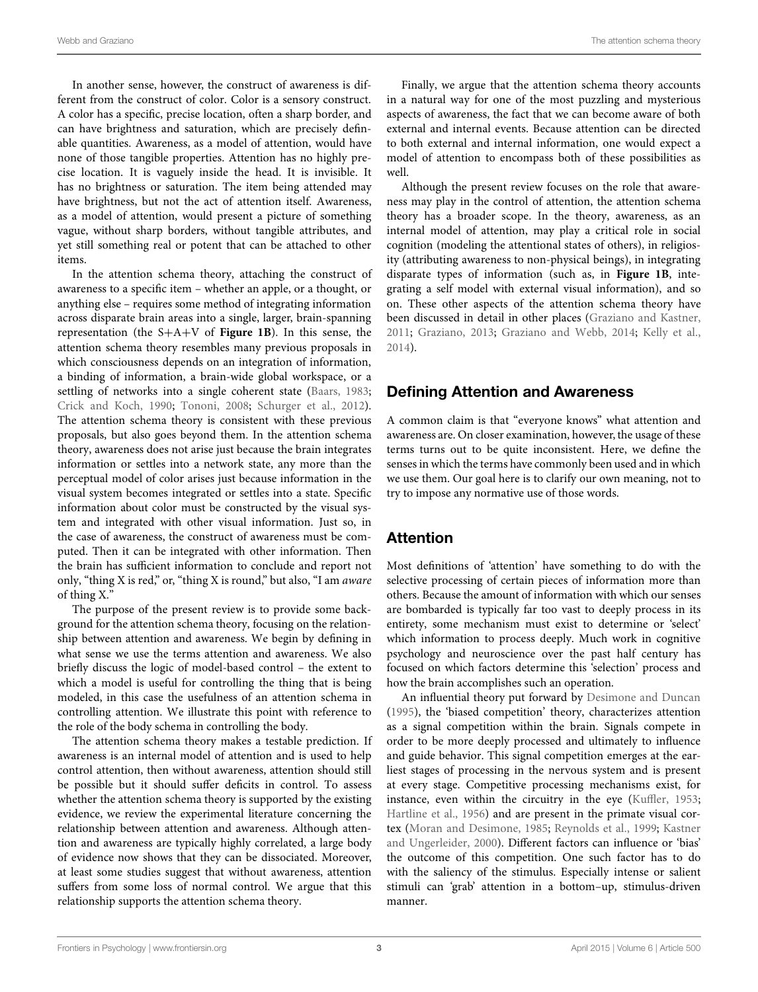In another sense, however, the construct of awareness is different from the construct of color. Color is a sensory construct. A color has a specific, precise location, often a sharp border, and can have brightness and saturation, which are precisely definable quantities. Awareness, as a model of attention, would have none of those tangible properties. Attention has no highly precise location. It is vaguely inside the head. It is invisible. It has no brightness or saturation. The item being attended may have brightness, but not the act of attention itself. Awareness, as a model of attention, would present a picture of something vague, without sharp borders, without tangible attributes, and yet still something real or potent that can be attached to other items.

In the attention schema theory, attaching the construct of awareness to a specific item – whether an apple, or a thought, or anything else – requires some method of integrating information across disparate brain areas into a single, larger, brain-spanning representation (the S+A+V of **[Figure 1B](#page-1-0)**). In this sense, the attention schema theory resembles many previous proposals in which consciousness depends on an integration of information, a binding of information, a brain-wide global workspace, or a settling of networks into a single coherent state [\(Baars](#page-9-7), [1983;](#page-9-7) [Crick and Koch](#page-9-8), [1990](#page-9-8); [Tononi](#page-10-0), [2008](#page-10-0); [Schurger et al.](#page-10-1), [2012](#page-10-1)). The attention schema theory is consistent with these previous proposals, but also goes beyond them. In the attention schema theory, awareness does not arise just because the brain integrates information or settles into a network state, any more than the perceptual model of color arises just because information in the visual system becomes integrated or settles into a state. Specific information about color must be constructed by the visual system and integrated with other visual information. Just so, in the case of awareness, the construct of awareness must be computed. Then it can be integrated with other information. Then the brain has sufficient information to conclude and report not only, "thing X is red," or, "thing X is round," but also, "I am *aware* of thing X."

The purpose of the present review is to provide some background for the attention schema theory, focusing on the relationship between attention and awareness. We begin by defining in what sense we use the terms attention and awareness. We also briefly discuss the logic of model-based control – the extent to which a model is useful for controlling the thing that is being modeled, in this case the usefulness of an attention schema in controlling attention. We illustrate this point with reference to the role of the body schema in controlling the body.

The attention schema theory makes a testable prediction. If awareness is an internal model of attention and is used to help control attention, then without awareness, attention should still be possible but it should suffer deficits in control. To assess whether the attention schema theory is supported by the existing evidence, we review the experimental literature concerning the relationship between attention and awareness. Although attention and awareness are typically highly correlated, a large body of evidence now shows that they can be dissociated. Moreover, at least some studies suggest that without awareness, attention suffers from some loss of normal control. We argue that this relationship supports the attention schema theory.

Finally, we argue that the attention schema theory accounts in a natural way for one of the most puzzling and mysterious aspects of awareness, the fact that we can become aware of both external and internal events. Because attention can be directed to both external and internal information, one would expect a model of attention to encompass both of these possibilities as well.

Although the present review focuses on the role that awareness may play in the control of attention, the attention schema theory has a broader scope. In the theory, awareness, as an internal model of attention, may play a critical role in social cognition (modeling the attentional states of others), in religiosity (attributing awareness to non-physical beings), in integrating disparate types of information (such as, in **[Figure 1B](#page-1-0)**, integrating a self model with external visual information), and so on. These other aspects of the attention schema theory have been discussed in detail in other places [\(Graziano and Kastner](#page-9-0), [2011](#page-9-0); [Graziano](#page-9-1), [2013;](#page-9-1) [Graziano and Webb, 2014;](#page-9-2) [Kelly et al.](#page-9-3), [2014](#page-9-3)).

### Defining Attention and Awareness

A common claim is that "everyone knows" what attention and awareness are. On closer examination, however, the usage of these terms turns out to be quite inconsistent. Here, we define the senses in which the terms have commonly been used and in which we use them. Our goal here is to clarify our own meaning, not to try to impose any normative use of those words.

# Attention

Most definitions of 'attention' have something to do with the selective processing of certain pieces of information more than others. Because the amount of information with which our senses are bombarded is typically far too vast to deeply process in its entirety, some mechanism must exist to determine or 'select' which information to process deeply. Much work in cognitive psychology and neuroscience over the past half century has focused on which factors determine this 'selection' process and how the brain accomplishes such an operation.

An influential theory put forward by [Desimone and Duncan](#page-9-4) [\(1995](#page-9-4)), the 'biased competition' theory, characterizes attention as a signal competition within the brain. Signals compete in order to be more deeply processed and ultimately to influence and guide behavior. This signal competition emerges at the earliest stages of processing in the nervous system and is present at every stage. Competitive processing mechanisms exist, for instance, even within the circuitry in the eye [\(Kuffler](#page-9-9), [1953](#page-9-9); [Hartline et al., 1956](#page-9-10)) and are present in the primate visual cortex [\(Moran and Desimone](#page-10-2), [1985](#page-10-2); [Reynolds et al.](#page-10-3)[,](#page-9-11) [1999](#page-10-3)[;](#page-9-11) Kastner and Ungerleider, [2000\)](#page-9-11). Different factors can influence or 'bias' the outcome of this competition. One such factor has to do with the saliency of the stimulus. Especially intense or salient stimuli can 'grab' attention in a bottom–up, stimulus-driven manner.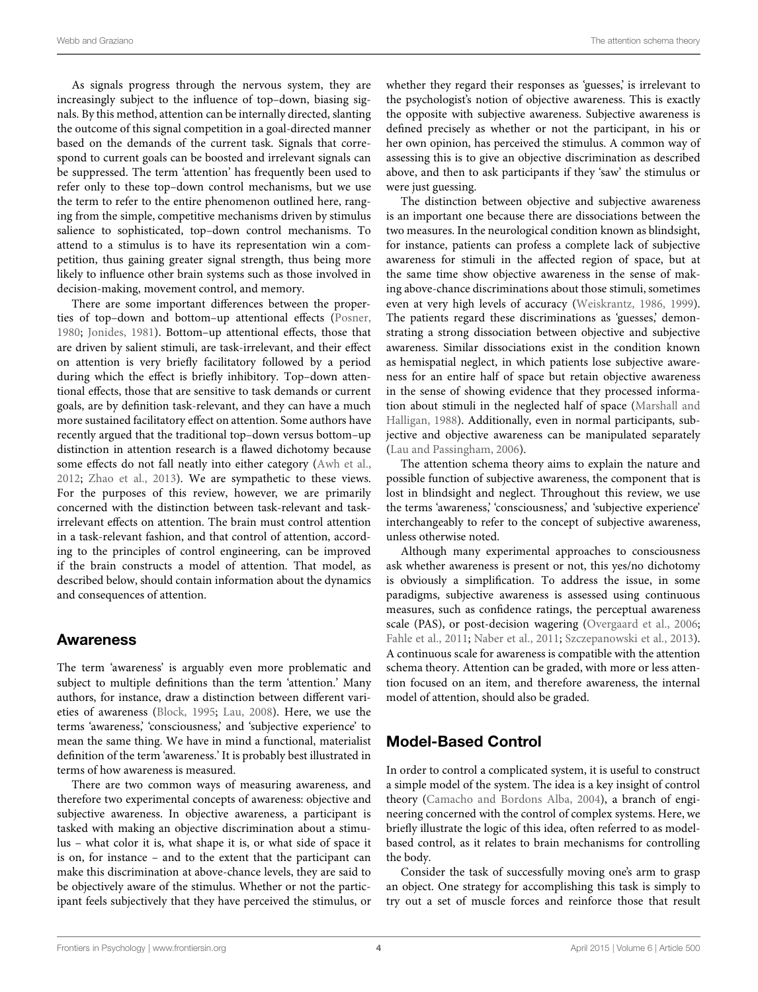As signals progress through the nervous system, they are increasingly subject to the influence of top–down, biasing signals. By this method, attention can be internally directed, slanting the outcome of this signal competition in a goal-directed manner based on the demands of the current task. Signals that correspond to current goals can be boosted and irrelevant signals can be suppressed. The term 'attention' has frequently been used to refer only to these top–down control mechanisms, but we use the term to refer to the entire phenomenon outlined here, ranging from the simple, competitive mechanisms driven by stimulus salience to sophisticated, top–down control mechanisms. To attend to a stimulus is to have its representation win a competition, thus gaining greater signal strength, thus being more likely to influence other brain systems such as those involved in decision-making, movement control, and memory.

There are some important differences between the properties of top–down and bottom–up attentional effects [\(Posner](#page-10-4), [1980](#page-10-4); [Jonides](#page-9-12), [1981](#page-9-12)). Bottom–up attentional effects, those that are driven by salient stimuli, are task-irrelevant, and their effect on attention is very briefly facilitatory followed by a period during which the effect is briefly inhibitory. Top–down attentional effects, those that are sensitive to task demands or current goals, are by definition task-relevant, and they can have a much more sustained facilitatory effect on attention. Some authors have recently argued that the traditional top–down versus bottom–up distinction in attention research is a flawed dichotomy because some effects do not fall neatly into either category [\(Awh et al.](#page-9-13), [2012](#page-9-13); [Zhao et al., 2013](#page-10-5)). We are sympathetic to these views. For the purposes of this review, however, we are primarily concerned with the distinction between task-relevant and taskirrelevant effects on attention. The brain must control attention in a task-relevant fashion, and that control of attention, according to the principles of control engineering, can be improved if the brain constructs a model of attention. That model, as described below, should contain information about the dynamics and consequences of attention.

### Awareness

The term 'awareness' is arguably even more problematic and subject to multiple definitions than the term 'attention.' Many authors, for instance, draw a distinction between different varieties of awareness [\(Block, 1995](#page-9-14); [Lau, 2008](#page-9-15)). Here, we use the terms 'awareness,' 'consciousness,' and 'subjective experience' to mean the same thing. We have in mind a functional, materialist definition of the term 'awareness.' It is probably best illustrated in terms of how awareness is measured.

There are two common ways of measuring awareness, and therefore two experimental concepts of awareness: objective and subjective awareness. In objective awareness, a participant is tasked with making an objective discrimination about a stimulus – what color it is, what shape it is, or what side of space it is on, for instance – and to the extent that the participant can make this discrimination at above-chance levels, they are said to be objectively aware of the stimulus. Whether or not the participant feels subjectively that they have perceived the stimulus, or

whether they regard their responses as 'guesses,' is irrelevant to the psychologist's notion of objective awareness. This is exactly the opposite with subjective awareness. Subjective awareness is defined precisely as whether or not the participant, in his or her own opinion, has perceived the stimulus. A common way of assessing this is to give an objective discrimination as described above, and then to ask participants if they 'saw' the stimulus or were just guessing.

The distinction between objective and subjective awareness is an important one because there are dissociations between the two measures. In the neurological condition known as blindsight, for instance, patients can profess a complete lack of subjective awareness for stimuli in the affected region of space, but at the same time show objective awareness in the sense of making above-chance discriminations about those stimuli, sometimes even at very high levels of accuracy [\(Weiskrantz](#page-10-6), [1986,](#page-10-6) [1999\)](#page-10-7). The patients regard these discriminations as 'guesses,' demonstrating a strong dissociation between objective and subjective awareness. Similar dissociations exist in the condition known as hemispatial neglect, in which patients lose subjective awareness for an entire half of space but retain objective awareness in the sense of showing evidence that they processed information ab[out stimuli in the neglected half of space \(](#page-10-8)Marshall and Halligan, [1988](#page-10-8)). Additionally, even in normal participants, subjective and objective awareness can be manipulated separately [\(Lau and Passingham](#page-9-16), [2006](#page-9-16)).

The attention schema theory aims to explain the nature and possible function of subjective awareness, the component that is lost in blindsight and neglect. Throughout this review, we use the terms 'awareness,' 'consciousness,' and 'subjective experience' interchangeably to refer to the concept of subjective awareness, unless otherwise noted.

Although many experimental approaches to consciousness ask whether awareness is present or not, this yes/no dichotomy is obviously a simplification. To address the issue, in some paradigms, subjective awareness is assessed using continuous measures, such as confidence ratings, the perceptual awareness scale (PAS), or post-decision wagering [\(Overgaard et al.](#page-10-9), [2006](#page-10-9); [Fahle et al., 2011;](#page-9-17) [Naber et al., 2011](#page-10-10); [Szczepanowski et al., 2013\)](#page-10-11). A continuous scale for awareness is compatible with the attention schema theory. Attention can be graded, with more or less attention focused on an item, and therefore awareness, the internal model of attention, should also be graded.

# Model-Based Control

In order to control a complicated system, it is useful to construct a simple model of the system. The idea is a key insight of control theory [\(Camacho and Bordons Alba, 2004\)](#page-9-18), a branch of engineering concerned with the control of complex systems. Here, we briefly illustrate the logic of this idea, often referred to as modelbased control, as it relates to brain mechanisms for controlling the body.

Consider the task of successfully moving one's arm to grasp an object. One strategy for accomplishing this task is simply to try out a set of muscle forces and reinforce those that result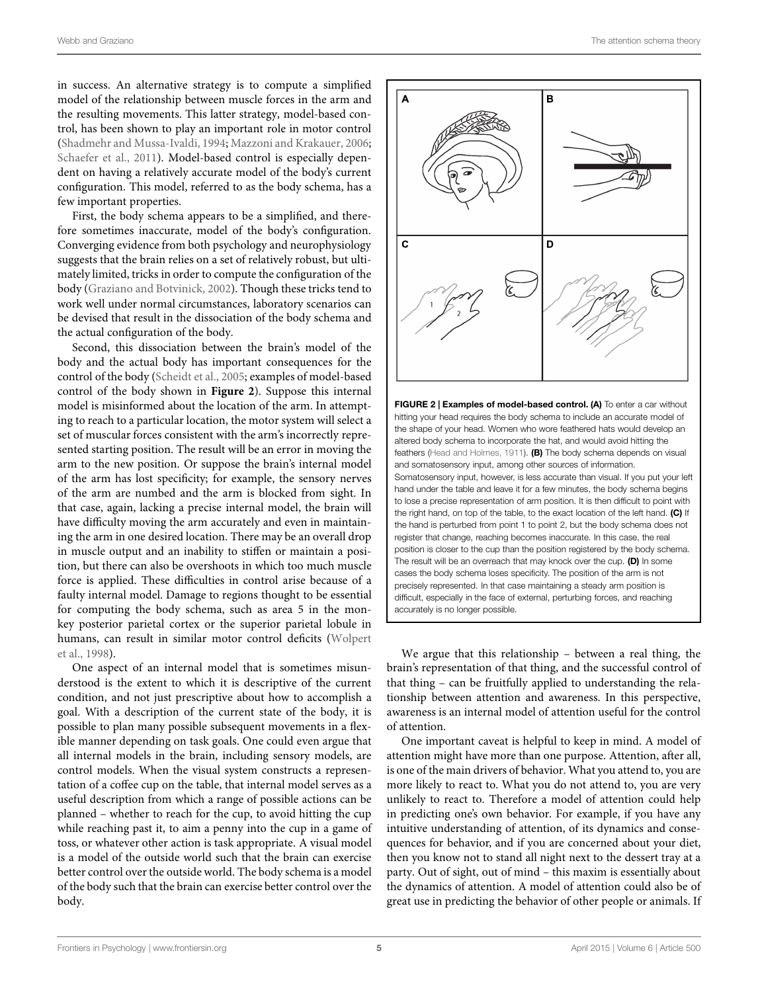in success. An alternative strategy is to compute a simplified model of the relationship between muscle forces in the arm and the resulting movements. This latter strategy, model-based control, has been shown to play an important role in motor control [\(Shadmehr and Mussa-Ivaldi](#page-10-12), [1994](#page-10-12); [Mazzoni and Krakauer, 2006;](#page-10-13) [Schaefer et al., 2011](#page-10-14)). Model-based control is especially dependent on having a relatively accurate model of the body's current configuration. This model, referred to as the body schema, has a few important properties.

First, the body schema appears to be a simplified, and therefore sometimes inaccurate, model of the body's configuration. Converging evidence from both psychology and neurophysiology suggests that the brain relies on a set of relatively robust, but ultimately limited, tricks in order to compute the configuration of the body [\(Graziano and Botvinick](#page-9-19), [2002](#page-9-19)). Though these tricks tend to work well under normal circumstances, laboratory scenarios can be devised that result in the dissociation of the body schema and the actual configuration of the body.

Second, this dissociation between the brain's model of the body and the actual body has important consequences for the control of the body [\(Scheidt et al., 2005](#page-10-15); examples of model-based control of the body shown in **[Figure 2](#page-4-0)**). Suppose this internal model is misinformed about the location of the arm. In attempting to reach to a particular location, the motor system will select a set of muscular forces consistent with the arm's incorrectly represented starting position. The result will be an error in moving the arm to the new position. Or suppose the brain's internal model of the arm has lost specificity; for example, the sensory nerves of the arm are numbed and the arm is blocked from sight. In that case, again, lacking a precise internal model, the brain will have difficulty moving the arm accurately and even in maintaining the arm in one desired location. There may be an overall drop in muscle output and an inability to stiffen or maintain a position, but there can also be overshoots in which too much muscle force is applied. These difficulties in control arise because of a faulty internal model. Damage to regions thought to be essential for computing the body schema, such as area 5 in the monkey posterior parietal cortex or the superior parietal lobule in hum[ans,](#page-10-16) [can](#page-10-16) [result](#page-10-16) [in](#page-10-16) [similar](#page-10-16) [motor](#page-10-16) [control](#page-10-16) [deficits](#page-10-16) [\(](#page-10-16)Wolpert et al., [1998\)](#page-10-16).

One aspect of an internal model that is sometimes misunderstood is the extent to which it is descriptive of the current condition, and not just prescriptive about how to accomplish a goal. With a description of the current state of the body, it is possible to plan many possible subsequent movements in a flexible manner depending on task goals. One could even argue that all internal models in the brain, including sensory models, are control models. When the visual system constructs a representation of a coffee cup on the table, that internal model serves as a useful description from which a range of possible actions can be planned – whether to reach for the cup, to avoid hitting the cup while reaching past it, to aim a penny into the cup in a game of toss, or whatever other action is task appropriate. A visual model is a model of the outside world such that the brain can exercise better control over the outside world. The body schema is a model of the body such that the brain can exercise better control over the body.



<span id="page-4-0"></span>FIGURE 2 | Examples of model-based control. (A) To enter a car without hitting your head requires the body schema to include an accurate model of the shape of your head. Women who wore feathered hats would develop an altered body schema to incorporate the hat, and would avoid hitting the feathers [\(Head and Holmes](#page-9-20), [1911](#page-9-20)). (B) The body schema depends on visual and somatosensory input, among other sources of information. Somatosensory input, however, is less accurate than visual. If you put your left hand under the table and leave it for a few minutes, the body schema begins to lose a precise representation of arm position. It is then difficult to point with the right hand, on top of the table, to the exact location of the left hand. (C) If the hand is perturbed from point 1 to point 2, but the body schema does not register that change, reaching becomes inaccurate. In this case, the real position is closer to the cup than the position registered by the body schema. The result will be an overreach that may knock over the cup. (D) In some cases the body schema loses specificity. The position of the arm is not precisely represented. In that case maintaining a steady arm position is difficult, especially in the face of external, perturbing forces, and reaching accurately is no longer possible.

We argue that this relationship – between a real thing, the brain's representation of that thing, and the successful control of that thing – can be fruitfully applied to understanding the relationship between attention and awareness. In this perspective, awareness is an internal model of attention useful for the control of attention.

One important caveat is helpful to keep in mind. A model of attention might have more than one purpose. Attention, after all, is one of the main drivers of behavior. What you attend to, you are more likely to react to. What you do not attend to, you are very unlikely to react to. Therefore a model of attention could help in predicting one's own behavior. For example, if you have any intuitive understanding of attention, of its dynamics and consequences for behavior, and if you are concerned about your diet, then you know not to stand all night next to the dessert tray at a party. Out of sight, out of mind – this maxim is essentially about the dynamics of attention. A model of attention could also be of great use in predicting the behavior of other people or animals. If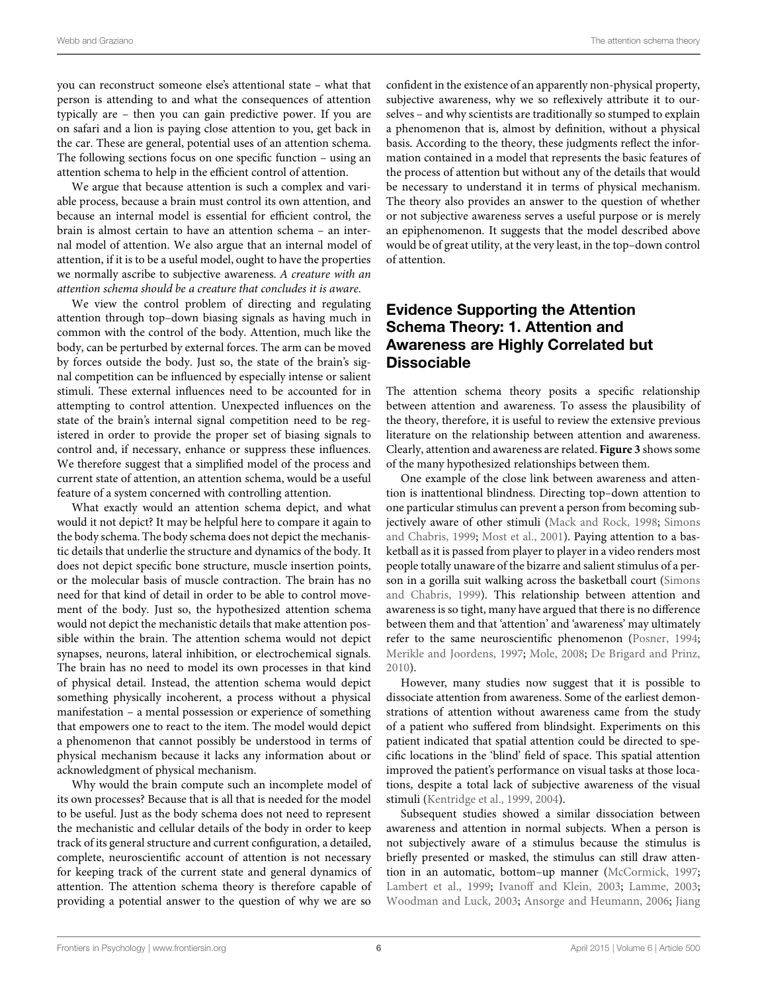you can reconstruct someone else's attentional state – what that person is attending to and what the consequences of attention typically are – then you can gain predictive power. If you are on safari and a lion is paying close attention to you, get back in the car. These are general, potential uses of an attention schema. The following sections focus on one specific function – using an attention schema to help in the efficient control of attention.

We argue that because attention is such a complex and variable process, because a brain must control its own attention, and because an internal model is essential for efficient control, the brain is almost certain to have an attention schema – an internal model of attention. We also argue that an internal model of attention, if it is to be a useful model, ought to have the properties we normally ascribe to subjective awareness. *A creature with an attention schema should be a creature that concludes it is aware.*

We view the control problem of directing and regulating attention through top–down biasing signals as having much in common with the control of the body. Attention, much like the body, can be perturbed by external forces. The arm can be moved by forces outside the body. Just so, the state of the brain's signal competition can be influenced by especially intense or salient stimuli. These external influences need to be accounted for in attempting to control attention. Unexpected influences on the state of the brain's internal signal competition need to be registered in order to provide the proper set of biasing signals to control and, if necessary, enhance or suppress these influences. We therefore suggest that a simplified model of the process and current state of attention, an attention schema, would be a useful feature of a system concerned with controlling attention.

What exactly would an attention schema depict, and what would it not depict? It may be helpful here to compare it again to the body schema. The body schema does not depict the mechanistic details that underlie the structure and dynamics of the body. It does not depict specific bone structure, muscle insertion points, or the molecular basis of muscle contraction. The brain has no need for that kind of detail in order to be able to control movement of the body. Just so, the hypothesized attention schema would not depict the mechanistic details that make attention possible within the brain. The attention schema would not depict synapses, neurons, lateral inhibition, or electrochemical signals. The brain has no need to model its own processes in that kind of physical detail. Instead, the attention schema would depict something physically incoherent, a process without a physical manifestation – a mental possession or experience of something that empowers one to react to the item. The model would depict a phenomenon that cannot possibly be understood in terms of physical mechanism because it lacks any information about or acknowledgment of physical mechanism.

Why would the brain compute such an incomplete model of its own processes? Because that is all that is needed for the model to be useful. Just as the body schema does not need to represent the mechanistic and cellular details of the body in order to keep track of its general structure and current configuration, a detailed, complete, neuroscientific account of attention is not necessary for keeping track of the current state and general dynamics of attention. The attention schema theory is therefore capable of providing a potential answer to the question of why we are so

confident in the existence of an apparently non-physical property, subjective awareness, why we so reflexively attribute it to ourselves – and why scientists are traditionally so stumped to explain a phenomenon that is, almost by definition, without a physical basis. According to the theory, these judgments reflect the information contained in a model that represents the basic features of the process of attention but without any of the details that would be necessary to understand it in terms of physical mechanism. The theory also provides an answer to the question of whether or not subjective awareness serves a useful purpose or is merely an epiphenomenon. It suggests that the model described above would be of great utility, at the very least, in the top–down control of attention.

# Evidence Supporting the Attention Schema Theory: 1. Attention and Awareness are Highly Correlated but **Dissociable**

The attention schema theory posits a specific relationship between attention and awareness. To assess the plausibility of the theory, therefore, it is useful to review the extensive previous literature on the relationship between attention and awareness. Clearly, attention and awareness are related. **[Figure 3](#page-6-0)** shows some of the many hypothesized relationships between them.

One example of the close link between awareness and attention is inattentional blindness. Directing top–down attention to one particular stimulus can prevent a person from becoming subjectively aw[are of other stimuli](#page-10-17) [\(Mack and Rock](#page-9-21)[,](#page-10-17) [1998](#page-9-21)[;](#page-10-17) Simons and Chabris, [1999;](#page-10-17) [Most et al., 2001\)](#page-10-18). Paying attention to a basketball as it is passed from player to player in a video renders most people totally unaware of the bizarre and salient stimulus of a person in a gor[illa suit walking across the basketball court \(](#page-10-17)Simons and Chabris, [1999\)](#page-10-17). This relationship between attention and awareness is so tight, many have argued that there is no difference between them and that 'attention' and 'awareness' may ultimately refer to the same neuroscientific phenomenon [\(Posner](#page-10-19), [1994](#page-10-19); [Merikle and Joordens](#page-10-20), [1997](#page-10-20); [Mole, 2008](#page-10-21); [De Brigard and Prinz,](#page-9-22) [2010\)](#page-9-22).

However, many studies now suggest that it is possible to dissociate attention from awareness. Some of the earliest demonstrations of attention without awareness came from the study of a patient who suffered from blindsight. Experiments on this patient indicated that spatial attention could be directed to specific locations in the 'blind' field of space. This spatial attention improved the patient's performance on visual tasks at those locations, despite a total lack of subjective awareness of the visual stimuli [\(Kentridge et al., 1999](#page-9-23), [2004\)](#page-9-24).

Subsequent studies showed a similar dissociation between awareness and attention in normal subjects. When a person is not subjectively aware of a stimulus because the stimulus is briefly presented or masked, the stimulus can still draw attention in an automatic, bottom–up manner [\(McCormick](#page-10-22), [1997](#page-10-22); [Lambert et al.](#page-9-25), [1999](#page-9-25); [Ivanoff and Klein, 2003;](#page-9-26) [Lamme](#page-9-27), [2003](#page-9-27); [Woodman and Luck](#page-10-23), [2003;](#page-10-23) [Ansorge and Heumann, 2006;](#page-9-28) Jiang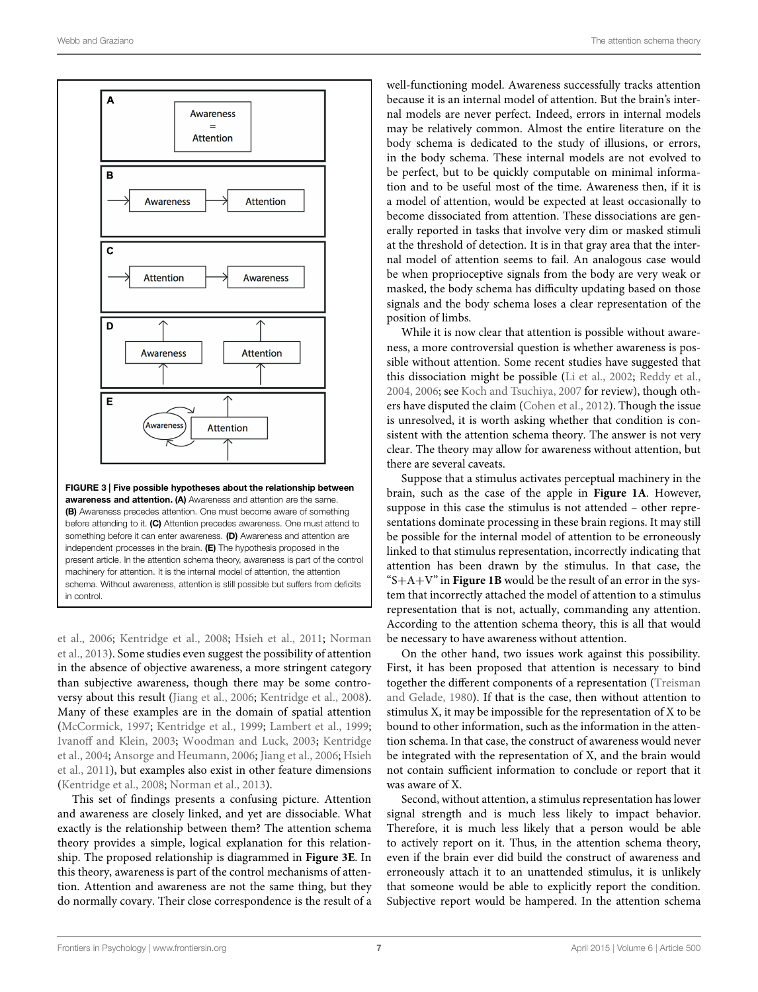

<span id="page-6-0"></span>something before it can enter awareness. (D) Awareness and attention are independent processes in the brain. (E) The hypothesis proposed in the present article. In the attention schema theory, awareness is part of the control machinery for attention. It is the internal model of attention, the attention schema. Without awareness, attention is still possible but suffers from deficits in control.

et al., [2006](#page-9-29); [Kentridge et al.](#page-9-30)[,](#page-10-24) [2008](#page-9-30)[;](#page-10-24) [Hsieh et al., 2011;](#page-9-31) Norman et al., [2013\)](#page-10-24). Some studies even suggest the possibility of attention in the absence of objective awareness, a more stringent category than subjective awareness, though there may be some controversy about this result [\(Jiang et al.](#page-9-29), [2006](#page-9-29); [Kentridge et al.](#page-9-30), [2008](#page-9-30)). Many of these examples are in the domain of spatial attention [\(McCormick](#page-10-22), [1997;](#page-10-22) [Kentridge et al.](#page-9-23), [1999;](#page-9-23) [Lambert et al.](#page-9-25), [1999;](#page-9-25) [Ivanoff and Klein](#page-9-26), [2003;](#page-9-26) [Woodman and Luck](#page-10-23)[,](#page-9-24) [2003](#page-10-23)[;](#page-9-24) Kentridge et al., [2004](#page-9-24); [Ansorge and Heumann](#page-9-28)[,](#page-9-31) [2006](#page-9-28)[;](#page-9-31) [Jiang et al.](#page-9-29), [2006;](#page-9-29) Hsieh et al., [2011](#page-9-31)), but examples also exist in other feature dimensions [\(Kentridge et al., 2008](#page-9-30); [Norman et al.](#page-10-24), [2013\)](#page-10-24).

This set of findings presents a confusing picture. Attention and awareness are closely linked, and yet are dissociable. What exactly is the relationship between them? The attention schema theory provides a simple, logical explanation for this relationship. The proposed relationship is diagrammed in **[Figure 3E](#page-6-0)**. In this theory, awareness is part of the control mechanisms of attention. Attention and awareness are not the same thing, but they do normally covary. Their close correspondence is the result of a well-functioning model. Awareness successfully tracks attention because it is an internal model of attention. But the brain's internal models are never perfect. Indeed, errors in internal models may be relatively common. Almost the entire literature on the body schema is dedicated to the study of illusions, or errors, in the body schema. These internal models are not evolved to be perfect, but to be quickly computable on minimal information and to be useful most of the time. Awareness then, if it is a model of attention, would be expected at least occasionally to become dissociated from attention. These dissociations are generally reported in tasks that involve very dim or masked stimuli at the threshold of detection. It is in that gray area that the internal model of attention seems to fail. An analogous case would be when proprioceptive signals from the body are very weak or masked, the body schema has difficulty updating based on those signals and the body schema loses a clear representation of the position of limbs.

While it is now clear that attention is possible without awareness, a more controversial question is whether awareness is possible without attention. Some recent studies have suggested that this dissociation might be possible [\(Li et al., 2002](#page-9-32); [Reddy et al.](#page-10-25), [2004](#page-10-25), [2006;](#page-10-26) see [Koch and Tsuchiya, 2007](#page-9-33) for review), though others have disputed the claim [\(Cohen et al.](#page-9-34), [2012](#page-9-34)). Though the issue is unresolved, it is worth asking whether that condition is consistent with the attention schema theory. The answer is not very clear. The theory may allow for awareness without attention, but there are several caveats.

Suppose that a stimulus activates perceptual machinery in the brain, such as the case of the apple in **[Figure 1A](#page-1-0)**. However, suppose in this case the stimulus is not attended – other representations dominate processing in these brain regions. It may still be possible for the internal model of attention to be erroneously linked to that stimulus representation, incorrectly indicating that attention has been drawn by the stimulus. In that case, the " $S + A + V$ " in **[Figure 1B](#page-1-0)** would be the result of an error in the system that incorrectly attached the model of attention to a stimulus representation that is not, actually, commanding any attention. According to the attention schema theory, this is all that would be necessary to have awareness without attention.

On the other hand, two issues work against this possibility. First, it has been proposed that attention is necessary to bind together th[e different components of a representation \(](#page-10-27)Treisman and Gelade, [1980](#page-10-27)). If that is the case, then without attention to stimulus X, it may be impossible for the representation of X to be bound to other information, such as the information in the attention schema. In that case, the construct of awareness would never be integrated with the representation of X, and the brain would not contain sufficient information to conclude or report that it was aware of X.

Second, without attention, a stimulus representation has lower signal strength and is much less likely to impact behavior. Therefore, it is much less likely that a person would be able to actively report on it. Thus, in the attention schema theory, even if the brain ever did build the construct of awareness and erroneously attach it to an unattended stimulus, it is unlikely that someone would be able to explicitly report the condition. Subjective report would be hampered. In the attention schema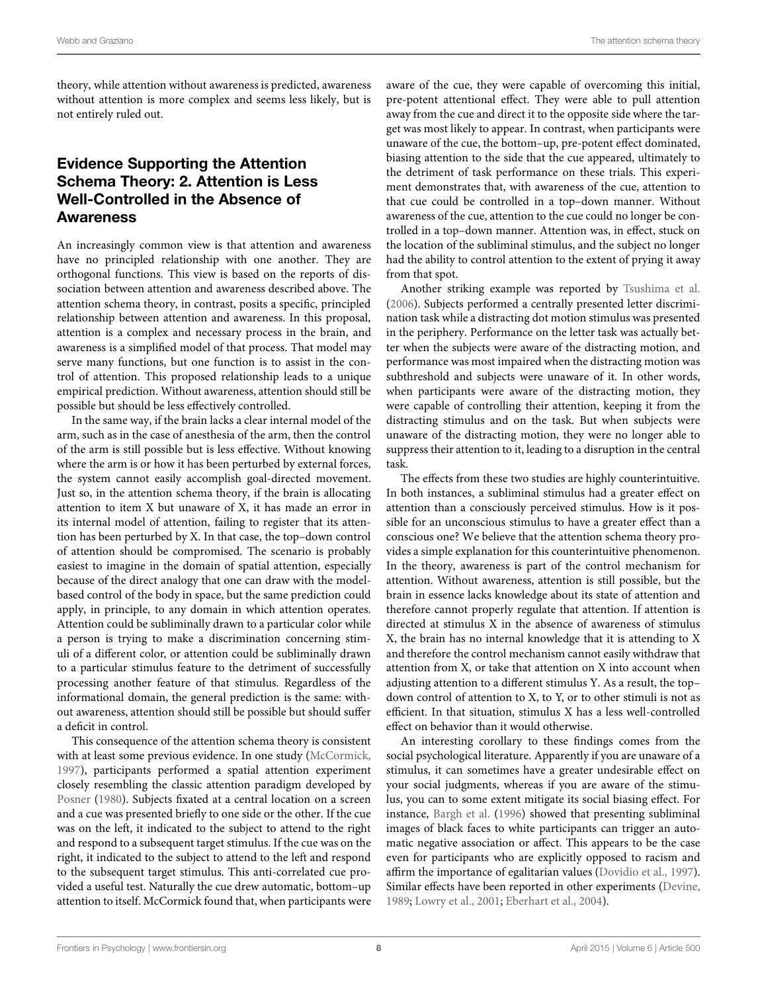theory, while attention without awareness is predicted, awareness without attention is more complex and seems less likely, but is not entirely ruled out.

# Evidence Supporting the Attention Schema Theory: 2. Attention is Less Well-Controlled in the Absence of Awareness

An increasingly common view is that attention and awareness have no principled relationship with one another. They are orthogonal functions. This view is based on the reports of dissociation between attention and awareness described above. The attention schema theory, in contrast, posits a specific, principled relationship between attention and awareness. In this proposal, attention is a complex and necessary process in the brain, and awareness is a simplified model of that process. That model may serve many functions, but one function is to assist in the control of attention. This proposed relationship leads to a unique empirical prediction. Without awareness, attention should still be possible but should be less effectively controlled.

In the same way, if the brain lacks a clear internal model of the arm, such as in the case of anesthesia of the arm, then the control of the arm is still possible but is less effective. Without knowing where the arm is or how it has been perturbed by external forces, the system cannot easily accomplish goal-directed movement. Just so, in the attention schema theory, if the brain is allocating attention to item X but unaware of X, it has made an error in its internal model of attention, failing to register that its attention has been perturbed by X. In that case, the top–down control of attention should be compromised. The scenario is probably easiest to imagine in the domain of spatial attention, especially because of the direct analogy that one can draw with the modelbased control of the body in space, but the same prediction could apply, in principle, to any domain in which attention operates. Attention could be subliminally drawn to a particular color while a person is trying to make a discrimination concerning stimuli of a different color, or attention could be subliminally drawn to a particular stimulus feature to the detriment of successfully processing another feature of that stimulus. Regardless of the informational domain, the general prediction is the same: without awareness, attention should still be possible but should suffer a deficit in control.

This consequence of the attention schema theory is consistent with at least some previous evidence. In one study [\(McCormick](#page-10-22), [1997](#page-10-22)), participants performed a spatial attention experiment closely resembling the classic attention paradigm developed by [Posner](#page-10-4) [\(1980\)](#page-10-4). Subjects fixated at a central location on a screen and a cue was presented briefly to one side or the other. If the cue was on the left, it indicated to the subject to attend to the right and respond to a subsequent target stimulus. If the cue was on the right, it indicated to the subject to attend to the left and respond to the subsequent target stimulus. This anti-correlated cue provided a useful test. Naturally the cue drew automatic, bottom–up attention to itself. McCormick found that, when participants were

aware of the cue, they were capable of overcoming this initial, pre-potent attentional effect. They were able to pull attention away from the cue and direct it to the opposite side where the target was most likely to appear. In contrast, when participants were unaware of the cue, the bottom–up, pre-potent effect dominated, biasing attention to the side that the cue appeared, ultimately to the detriment of task performance on these trials. This experiment demonstrates that, with awareness of the cue, attention to that cue could be controlled in a top–down manner. Without awareness of the cue, attention to the cue could no longer be controlled in a top–down manner. Attention was, in effect, stuck on the location of the subliminal stimulus, and the subject no longer had the ability to control attention to the extent of prying it away from that spot.

Another striking example was reported by [Tsushima et al.](#page-10-28) [\(2006\)](#page-10-28). Subjects performed a centrally presented letter discrimination task while a distracting dot motion stimulus was presented in the periphery. Performance on the letter task was actually better when the subjects were aware of the distracting motion, and performance was most impaired when the distracting motion was subthreshold and subjects were unaware of it. In other words, when participants were aware of the distracting motion, they were capable of controlling their attention, keeping it from the distracting stimulus and on the task. But when subjects were unaware of the distracting motion, they were no longer able to suppress their attention to it, leading to a disruption in the central task.

The effects from these two studies are highly counterintuitive. In both instances, a subliminal stimulus had a greater effect on attention than a consciously perceived stimulus. How is it possible for an unconscious stimulus to have a greater effect than a conscious one? We believe that the attention schema theory provides a simple explanation for this counterintuitive phenomenon. In the theory, awareness is part of the control mechanism for attention. Without awareness, attention is still possible, but the brain in essence lacks knowledge about its state of attention and therefore cannot properly regulate that attention. If attention is directed at stimulus X in the absence of awareness of stimulus X, the brain has no internal knowledge that it is attending to X and therefore the control mechanism cannot easily withdraw that attention from X, or take that attention on X into account when adjusting attention to a different stimulus Y. As a result, the top– down control of attention to X, to Y, or to other stimuli is not as efficient. In that situation, stimulus X has a less well-controlled effect on behavior than it would otherwise.

An interesting corollary to these findings comes from the social psychological literature. Apparently if you are unaware of a stimulus, it can sometimes have a greater undesirable effect on your social judgments, whereas if you are aware of the stimulus, you can to some extent mitigate its social biasing effect. For instance, [Bargh et al.](#page-9-35) [\(1996\)](#page-9-35) showed that presenting subliminal images of black faces to white participants can trigger an automatic negative association or affect. This appears to be the case even for participants who are explicitly opposed to racism and affirm the importance of egalitarian values [\(Dovidio et al.](#page-9-36), [1997\)](#page-9-36). Similar effects have been reported in other experiments [\(Devine](#page-9-37), [1989;](#page-9-37) [Lowry et al.](#page-9-38), [2001](#page-9-38); [Eberhart et al., 2004](#page-9-39)).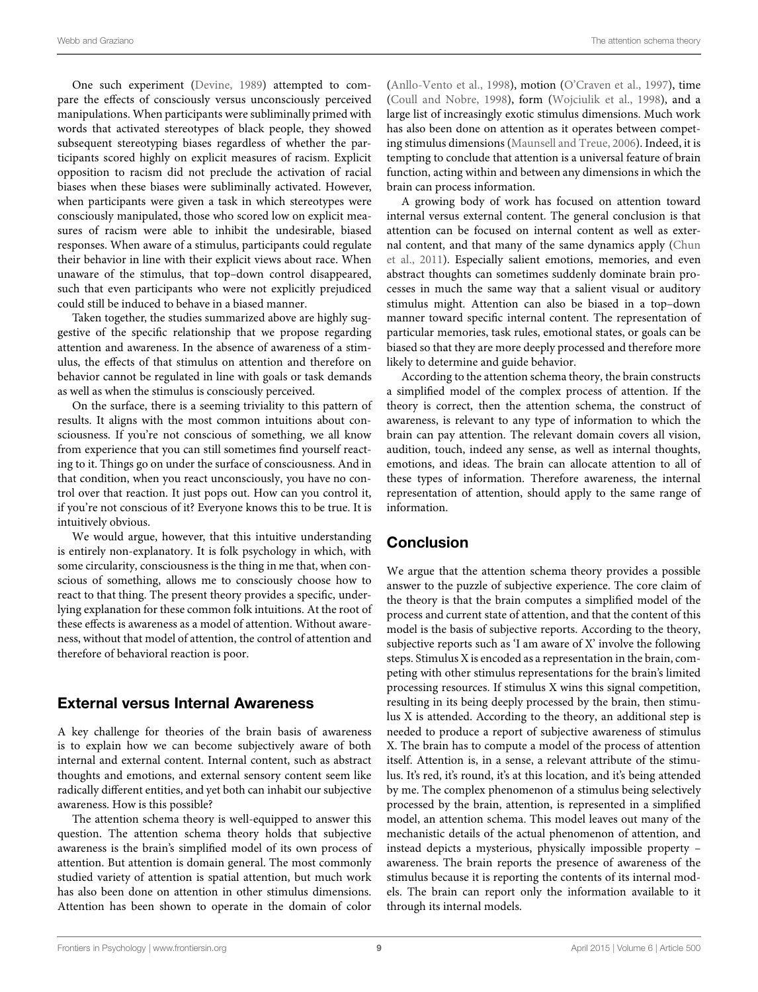One such experiment [\(Devine](#page-9-37), [1989](#page-9-37)) attempted to compare the effects of consciously versus unconsciously perceived manipulations. When participants were subliminally primed with words that activated stereotypes of black people, they showed subsequent stereotyping biases regardless of whether the participants scored highly on explicit measures of racism. Explicit opposition to racism did not preclude the activation of racial biases when these biases were subliminally activated. However, when participants were given a task in which stereotypes were consciously manipulated, those who scored low on explicit measures of racism were able to inhibit the undesirable, biased responses. When aware of a stimulus, participants could regulate their behavior in line with their explicit views about race. When unaware of the stimulus, that top–down control disappeared, such that even participants who were not explicitly prejudiced could still be induced to behave in a biased manner.

Taken together, the studies summarized above are highly suggestive of the specific relationship that we propose regarding attention and awareness. In the absence of awareness of a stimulus, the effects of that stimulus on attention and therefore on behavior cannot be regulated in line with goals or task demands as well as when the stimulus is consciously perceived.

On the surface, there is a seeming triviality to this pattern of results. It aligns with the most common intuitions about consciousness. If you're not conscious of something, we all know from experience that you can still sometimes find yourself reacting to it. Things go on under the surface of consciousness. And in that condition, when you react unconsciously, you have no control over that reaction. It just pops out. How can you control it, if you're not conscious of it? Everyone knows this to be true. It is intuitively obvious.

We would argue, however, that this intuitive understanding is entirely non-explanatory. It is folk psychology in which, with some circularity, consciousness is the thing in me that, when conscious of something, allows me to consciously choose how to react to that thing. The present theory provides a specific, underlying explanation for these common folk intuitions. At the root of these effects is awareness as a model of attention. Without awareness, without that model of attention, the control of attention and therefore of behavioral reaction is poor.

### External versus Internal Awareness

A key challenge for theories of the brain basis of awareness is to explain how we can become subjectively aware of both internal and external content. Internal content, such as abstract thoughts and emotions, and external sensory content seem like radically different entities, and yet both can inhabit our subjective awareness. How is this possible?

The attention schema theory is well-equipped to answer this question. The attention schema theory holds that subjective awareness is the brain's simplified model of its own process of attention. But attention is domain general. The most commonly studied variety of attention is spatial attention, but much work has also been done on attention in other stimulus dimensions. Attention has been shown to operate in the domain of color

[\(Anllo-Vento et al.](#page-9-40), [1998\)](#page-9-40), motion [\(O'Craven et al., 1997\)](#page-10-29), time [\(Coull and Nobre](#page-9-41), [1998\)](#page-9-41), form [\(Wojciulik et al., 1998](#page-10-30)), and a large list of increasingly exotic stimulus dimensions. Much work has also been done on attention as it operates between competing stimulus dimensions [\(Maunsell and Treue](#page-10-31), [2006](#page-10-31)). Indeed, it is tempting to conclude that attention is a universal feature of brain function, acting within and between any dimensions in which the brain can process information.

A growing body of work has focused on attention toward internal versus external content. The general conclusion is that attention can be focused on internal content as well as external c[ontent, and that many of the same dynamics apply \(](#page-9-42)Chun et al., [2011](#page-9-42)). Especially salient emotions, memories, and even abstract thoughts can sometimes suddenly dominate brain processes in much the same way that a salient visual or auditory stimulus might. Attention can also be biased in a top–down manner toward specific internal content. The representation of particular memories, task rules, emotional states, or goals can be biased so that they are more deeply processed and therefore more likely to determine and guide behavior.

According to the attention schema theory, the brain constructs a simplified model of the complex process of attention. If the theory is correct, then the attention schema, the construct of awareness, is relevant to any type of information to which the brain can pay attention. The relevant domain covers all vision, audition, touch, indeed any sense, as well as internal thoughts, emotions, and ideas. The brain can allocate attention to all of these types of information. Therefore awareness, the internal representation of attention, should apply to the same range of information.

# Conclusion

We argue that the attention schema theory provides a possible answer to the puzzle of subjective experience. The core claim of the theory is that the brain computes a simplified model of the process and current state of attention, and that the content of this model is the basis of subjective reports. According to the theory, subjective reports such as 'I am aware of X' involve the following steps. Stimulus X is encoded as a representation in the brain, competing with other stimulus representations for the brain's limited processing resources. If stimulus X wins this signal competition, resulting in its being deeply processed by the brain, then stimulus X is attended. According to the theory, an additional step is needed to produce a report of subjective awareness of stimulus X. The brain has to compute a model of the process of attention itself. Attention is, in a sense, a relevant attribute of the stimulus. It's red, it's round, it's at this location, and it's being attended by me. The complex phenomenon of a stimulus being selectively processed by the brain, attention, is represented in a simplified model, an attention schema. This model leaves out many of the mechanistic details of the actual phenomenon of attention, and instead depicts a mysterious, physically impossible property – awareness. The brain reports the presence of awareness of the stimulus because it is reporting the contents of its internal models. The brain can report only the information available to it through its internal models.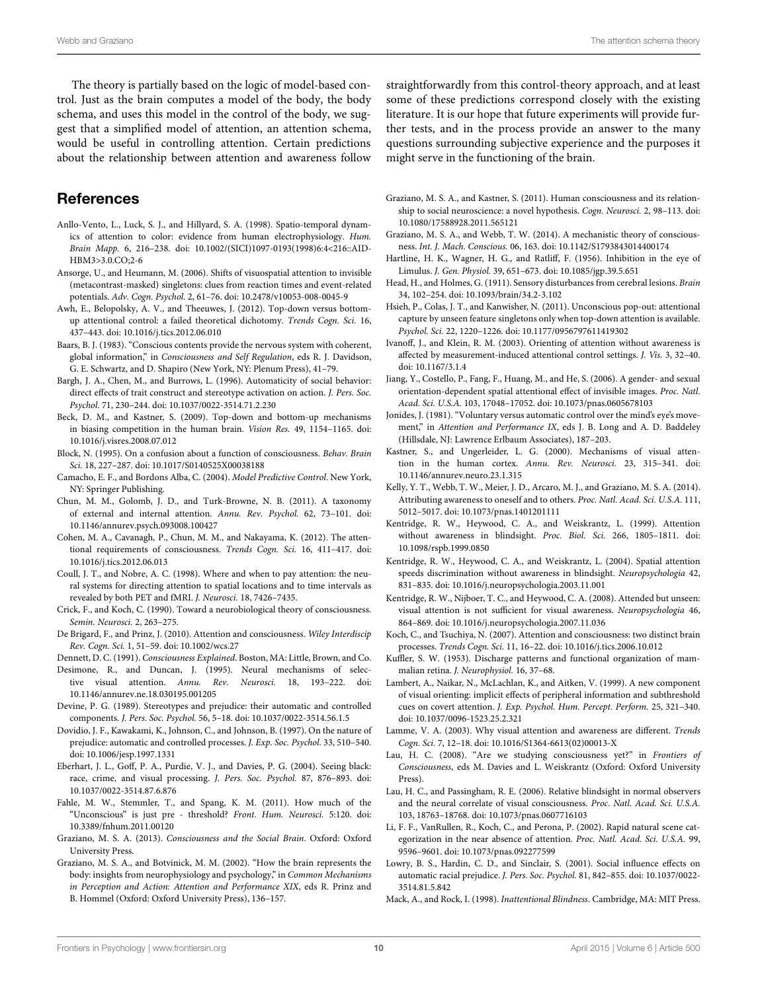The theory is partially based on the logic of model-based control. Just as the brain computes a model of the body, the body schema, and uses this model in the control of the body, we suggest that a simplified model of attention, an attention schema, would be useful in controlling attention. Certain predictions about the relationship between attention and awareness follow

### **References**

- <span id="page-9-40"></span>Anllo-Vento, L., Luck, S. J., and Hillyard, S. A. (1998). Spatio-temporal dynamics of attention to color: evidence from human electrophysiology. *Hum. Brain Mapp.* 6, 216–238. doi: 10.1002/(SICI)1097-0193(1998)6:4<216::AID-HBM3>3.0.CO;2-6
- <span id="page-9-28"></span>Ansorge, U., and Heumann, M. (2006). Shifts of visuospatial attention to invisible (metacontrast-masked) singletons: clues from reaction times and event-related potentials. *Adv. Cogn. Psychol.* 2, 61–76. doi: 10.2478/v10053-008-0045-9
- <span id="page-9-13"></span>Awh, E., Belopolsky, A. V., and Theeuwes, J. (2012). Top-down versus bottomup attentional control: a failed theoretical dichotomy. *Trends Cogn. Sci.* 16, 437–443. doi: 10.1016/j.tics.2012.06.010
- <span id="page-9-7"></span>Baars, B. J. (1983). "Conscious contents provide the nervous system with coherent, global information," in *Consciousness and Self Regulation*, eds R. J. Davidson, G. E. Schwartz, and D. Shapiro (New York, NY: Plenum Press), 41–79.
- <span id="page-9-35"></span>Bargh, J. A., Chen, M., and Burrows, L. (1996). Automaticity of social behavior: direct effects of trait construct and stereotype activation on action. *J. Pers. Soc. Psychol.* 71, 230–244. doi: 10.1037/0022-3514.71.2.230
- <span id="page-9-5"></span>Beck, D. M., and Kastner, S. (2009). Top-down and bottom-up mechanisms in biasing competition in the human brain. *Vision Res.* 49, 1154–1165. doi: 10.1016/j.visres.2008.07.012
- <span id="page-9-14"></span>Block, N. (1995). On a confusion about a function of consciousness. *Behav. Brain Sci.* 18, 227–287. doi: 10.1017/S0140525X00038188
- <span id="page-9-18"></span>Camacho, E. F., and Bordons Alba, C. (2004). *Model Predictive Control*. New York, NY: Springer Publishing.
- <span id="page-9-42"></span>Chun, M. M., Golomb, J. D., and Turk-Browne, N. B. (2011). A taxonomy of external and internal attention. *Annu. Rev. Psychol.* 62, 73–101. doi: 10.1146/annurev.psych.093008.100427
- <span id="page-9-34"></span>Cohen, M. A., Cavanagh, P., Chun, M. M., and Nakayama, K. (2012). The attentional requirements of consciousness. *Trends Cogn. Sci.* 16, 411–417. doi: 10.1016/j.tics.2012.06.013
- <span id="page-9-41"></span>Coull, J. T., and Nobre, A. C. (1998). Where and when to pay attention: the neural systems for directing attention to spatial locations and to time intervals as revealed by both PET and fMRI. *J. Neurosci.* 18, 7426–7435.
- <span id="page-9-8"></span>Crick, F., and Koch, C. (1990). Toward a neurobiological theory of consciousness. *Semin. Neurosci.* 2, 263–275.
- <span id="page-9-22"></span>De Brigard, F., and Prinz, J. (2010). Attention and consciousness. *Wiley Interdiscip Rev. Cogn. Sci.* 1, 51–59. doi: 10.1002/wcs.27
- <span id="page-9-6"></span>Dennett, D. C. (1991). *Consciousness Explained*. Boston, MA: Little, Brown, and Co.
- <span id="page-9-4"></span>Desimone, R., and Duncan, J. (1995). Neural mechanisms of selective visual attention. *Annu. Rev. Neurosci.* 18, 193–222. doi: 10.1146/annurev.ne.18.030195.001205
- <span id="page-9-37"></span>Devine, P. G. (1989). Stereotypes and prejudice: their automatic and controlled components. *J. Pers. Soc. Psychol.* 56, 5–18. doi: 10.1037/0022-3514.56.1.5
- <span id="page-9-36"></span>Dovidio, J. F., Kawakami, K., Johnson, C., and Johnson, B. (1997). On the nature of prejudice: automatic and controlled processes. *J. Exp. Soc. Psychol.* 33, 510–540. doi: 10.1006/jesp.1997.1331
- <span id="page-9-39"></span>Eberhart, J. L., Goff, P. A., Purdie, V. J., and Davies, P. G. (2004). Seeing black: race, crime, and visual processing. *J. Pers. Soc. Psychol.* 87, 876–893. doi: 10.1037/0022-3514.87.6.876
- <span id="page-9-17"></span>Fahle, M. W., Stemmler, T., and Spang, K. M. (2011). How much of the "Unconscious" is just pre - threshold? *Front. Hum. Neurosci.* 5:120. doi: 10.3389/fnhum.2011.00120
- <span id="page-9-1"></span>Graziano, M. S. A. (2013). *Consciousness and the Social Brain*. Oxford: Oxford University Press.
- <span id="page-9-19"></span>Graziano, M. S. A., and Botvinick, M. M. (2002). "How the brain represents the body: insights from neurophysiology and psychology," in *Common Mechanisms in Perception and Action: Attention and Performance XIX*, eds R. Prinz and B. Hommel (Oxford: Oxford University Press), 136–157.

straightforwardly from this control-theory approach, and at least some of these predictions correspond closely with the existing literature. It is our hope that future experiments will provide further tests, and in the process provide an answer to the many questions surrounding subjective experience and the purposes it might serve in the functioning of the brain.

- <span id="page-9-0"></span>Graziano, M. S. A., and Kastner, S. (2011). Human consciousness and its relationship to social neuroscience: a novel hypothesis. *Cogn. Neurosci.* 2, 98–113. doi: 10.1080/17588928.2011.565121
- <span id="page-9-2"></span>Graziano, M. S. A., and Webb, T. W. (2014). A mechanistic theory of consciousness. *Int. J. Mach. Conscious.* 06, 163. doi: 10.1142/S1793843014400174
- <span id="page-9-10"></span>Hartline, H. K., Wagner, H. G., and Ratliff, F. (1956). Inhibition in the eye of Limulus. *J. Gen. Physiol.* 39, 651–673. doi: 10.1085/jgp.39.5.651
- <span id="page-9-20"></span>Head, H., and Holmes, G. (1911). Sensory disturbances from cerebral lesions. *Brain* 34, 102–254. doi: 10.1093/brain/34.2-3.102
- <span id="page-9-31"></span>Hsieh, P., Colas, J. T., and Kanwisher, N. (2011). Unconscious pop-out: attentional capture by unseen feature singletons only when top-down attention is available. *Psychol. Sci.* 22, 1220–1226. doi: 10.1177/0956797611419302
- <span id="page-9-26"></span>Ivanoff, J., and Klein, R. M. (2003). Orienting of attention without awareness is affected by measurement-induced attentional control settings. *J. Vis.* 3, 32–40. doi: 10.1167/3.1.4
- <span id="page-9-29"></span>Jiang, Y., Costello, P., Fang, F., Huang, M., and He, S. (2006). A gender- and sexual orientation-dependent spatial attentional effect of invisible images. *Proc. Natl. Acad. Sci. U.S.A.* 103, 17048–17052. doi: 10.1073/pnas.0605678103
- <span id="page-9-12"></span>Jonides, J. (1981). "Voluntary versus automatic control over the mind's eye's movement," in *Attention and Performance IX*, eds J. B. Long and A. D. Baddeley (Hillsdale, NJ: Lawrence Erlbaum Associates), 187–203.
- <span id="page-9-11"></span>Kastner, S., and Ungerleider, L. G. (2000). Mechanisms of visual attention in the human cortex. *Annu. Rev. Neurosci.* 23, 315–341. doi: 10.1146/annurev.neuro.23.1.315
- <span id="page-9-3"></span>Kelly, Y. T., Webb, T. W., Meier, J. D., Arcaro, M. J., and Graziano, M. S. A. (2014). Attributing awareness to oneself and to others. *Proc. Natl. Acad. Sci. U.S.A.* 111, 5012–5017. doi: 10.1073/pnas.1401201111
- <span id="page-9-23"></span>Kentridge, R. W., Heywood, C. A., and Weiskrantz, L. (1999). Attention without awareness in blindsight. *Proc. Biol. Sci.* 266, 1805–1811. doi: 10.1098/rspb.1999.0850
- <span id="page-9-24"></span>Kentridge, R. W., Heywood, C. A., and Weiskrantz, L. (2004). Spatial attention speeds discrimination without awareness in blindsight. *Neuropsychologia* 42, 831–835. doi: 10.1016/j.neuropsychologia.2003.11.001
- <span id="page-9-30"></span>Kentridge, R. W., Nijboer, T. C., and Heywood, C. A. (2008). Attended but unseen: visual attention is not sufficient for visual awareness. *Neuropsychologia* 46, 864–869. doi: 10.1016/j.neuropsychologia.2007.11.036
- <span id="page-9-33"></span>Koch, C., and Tsuchiya, N. (2007). Attention and consciousness: two distinct brain processes. *Trends Cogn. Sci.* 11, 16–22. doi: 10.1016/j.tics.2006.10.012
- <span id="page-9-9"></span>Kuffler, S. W. (1953). Discharge patterns and functional organization of mammalian retina. *J. Neurophysiol.* 16, 37–68.
- <span id="page-9-25"></span>Lambert, A., Naikar, N., McLachlan, K., and Aitken, V. (1999). A new component of visual orienting: implicit effects of peripheral information and subthreshold cues on covert attention. *J. Exp. Psychol. Hum. Percept. Perform.* 25, 321–340. doi: 10.1037/0096-1523.25.2.321
- <span id="page-9-27"></span>Lamme, V. A. (2003). Why visual attention and awareness are different. *Trends Cogn. Sci.* 7, 12–18. doi: 10.1016/S1364-6613(02)00013-X
- <span id="page-9-15"></span>Lau, H. C. (2008). "Are we studying consciousness yet?" in *Frontiers of Consciousness*, eds M. Davies and L. Weiskrantz (Oxford: Oxford University Press).
- <span id="page-9-16"></span>Lau, H. C., and Passingham, R. E. (2006). Relative blindsight in normal observers and the neural correlate of visual consciousness. *Proc. Natl. Acad. Sci. U.S.A.* 103, 18763–18768. doi: 10.1073/pnas.0607716103
- <span id="page-9-32"></span>Li, F. F., VanRullen, R., Koch, C., and Perona, P. (2002). Rapid natural scene categorization in the near absence of attention. *Proc. Natl. Acad. Sci. U.S.A.* 99, 9596–9601. doi: 10.1073/pnas.092277599
- <span id="page-9-38"></span>Lowry, B. S., Hardin, C. D., and Sinclair, S. (2001). Social influence effects on automatic racial prejudice. *J. Pers. Soc. Psychol.* 81, 842–855. doi: 10.1037/0022- 3514.81.5.842

<span id="page-9-21"></span>Mack, A., and Rock, I. (1998). *Inattentional Blindness*. Cambridge, MA: MIT Press.